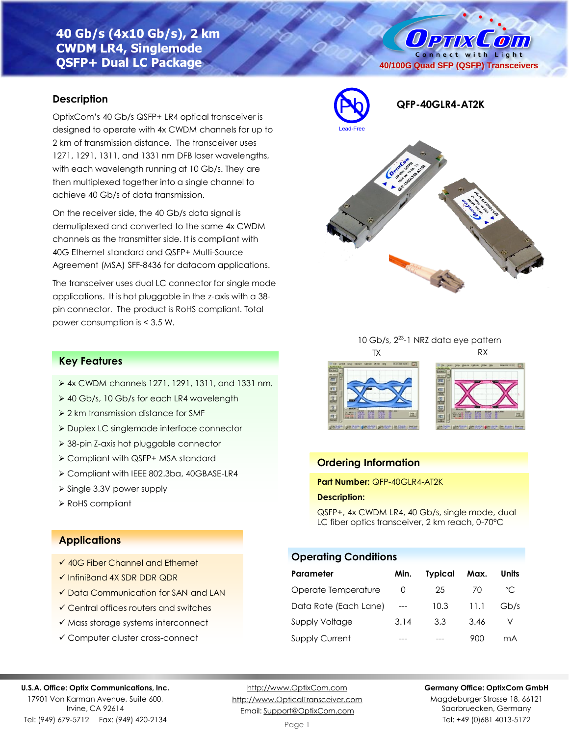# **40 Gb/s (4x10 Gb/s), 2 km CWDM LR4, Singlemode QSFP+ Dual LC Package**

### **Description**

OptixCom's 40 Gb/s QSFP+ LR4 optical transceiver is designed to operate with 4x CWDM channels for up to 2 km of transmission distance. The transceiver uses 1271, 1291, 1311, and 1331 nm DFB laser wavelengths, with each wavelength running at 10 Gb/s. They are then multiplexed together into a single channel to achieve 40 Gb/s of data transmission.

On the receiver side, the 40 Gb/s data signal is demutiplexed and converted to the same 4x CWDM channels as the transmitter side. It is compliant with 40G Ethernet standard and QSFP+ Multi-Source Agreement (MSA) SFF-8436 for datacom applications.

The transceiver uses dual LC connector for single mode applications. It is hot pluggable in the z-axis with a 38 pin connector. The product is RoHS compliant. Total power consumption is < 3.5 W.



**40/100G Quad SFP (QSFP) Transceivers**

**Ортіх Сопі** Connect with Light







## **Ordering Information**

**Part Number:** QFP-40GLR4-AT2K

#### **Description:**

QSFP+, 4x CWDM LR4, 40 Gb/s, single mode, dual LC fiber optics transceiver, 2 km reach, 0-70°C

## **Operating Conditions**

| Parameter             | Min. | <b>Typical</b> | Max.  | Units |
|-----------------------|------|----------------|-------|-------|
| Operate Temperature   |      | 25             | 70    | °C.   |
| Data Rate (Each Lane) |      | 10.3           | -11.1 | Gb/s  |
| <b>Supply Voltage</b> | 3.14 | 3.3            | 3.46  |       |
| <b>Supply Current</b> |      |                | 900   | mА    |

## **Key Features**

- ➢ 4x CWDM channels 1271, 1291, 1311, and 1331 nm.
- ➢ 40 Gb/s, 10 Gb/s for each LR4 wavelength
- ➢ 2 km transmission distance for SMF
- ➢ Duplex LC singlemode interface connector
- ➢ 38-pin Z-axis hot pluggable connector
- ➢ Compliant with QSFP+ MSA standard
- ➢ Compliant with IEEE 802.3ba, 40GBASE-LR4
- ➢ Single 3.3V power supply
- ➢ RoHS compliant

### **Applications**

- ✓ 40G Fiber Channel and Ethernet
- ✓ InfiniBand 4X SDR DDR QDR
- ✓ Data Communication for SAN and LAN
- ✓ Central offices routers and switches
- ✓ Mass storage systems interconnect
- ✓ Computer cluster cross-connect

#### **U.S.A. Office: Optix Communications, Inc.**

17901 Von Karman Avenue, Suite 600, Irvine, CA 92614 Tel: (949) 679-5712 Fax: (949) 420-2134

[http://www.OptixCom.com](http://www.optixcom.com/) [http://www.OpticalTransceiver.com](http://www.optoictech.com/) Email: [Support@OptixCom.com](mailto:Support@optoICtech.com)

#### **Germany Office: OptixCom GmbH**

Magdeburger Strasse 18, 66121 Saarbruecken, Germany Tel: +49 (0)681 4013-5172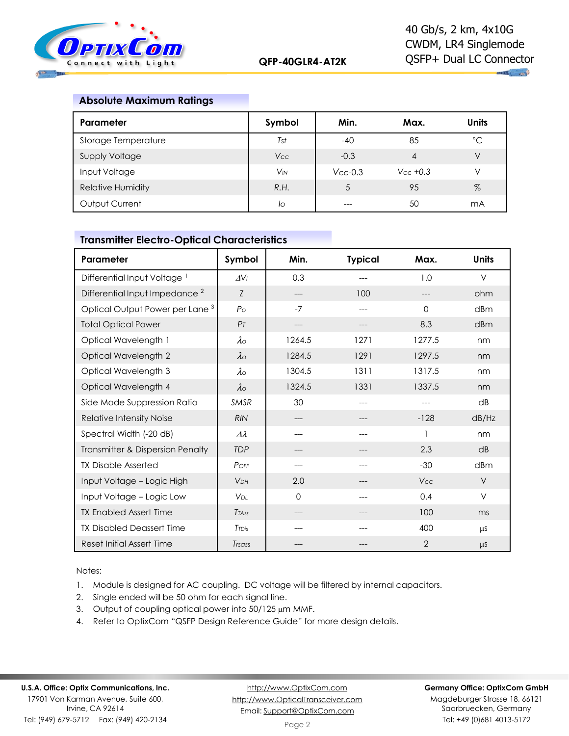

### **Absolute Maximum Ratings**

| Parameter                | Symbol                | Min.          | Max.          | <b>Units</b> |
|--------------------------|-----------------------|---------------|---------------|--------------|
| Storage Temperature      | Tst                   | $-40$         | 85            | °С           |
| <b>Supply Voltage</b>    | <b>Vcc</b>            | $-0.3$        | 4             | V            |
| Input Voltage            | <b>V<sub>IN</sub></b> | $V_{CC}$ -0.3 | $V_{CC}$ +0.3 | V            |
| <b>Relative Humidity</b> | R.H.                  |               | 95            | %            |
| Output Current           | lo                    |               | 50            | mA           |

## **Transmitter Electro-Optical Characteristics**

| Parameter                                  | Symbol                 | Min.   | <b>Typical</b> | Max.           | <b>Units</b> |
|--------------------------------------------|------------------------|--------|----------------|----------------|--------------|
| Differential Input Voltage <sup>1</sup>    | $\Delta V$ i           | 0.3    |                | 1.0            | $\vee$       |
| Differential Input Impedance <sup>2</sup>  | Z                      | ---    | 100            |                | ohm          |
| Optical Output Power per Lane <sup>3</sup> | P <sub>O</sub>         | $-7$   | ---            | $\Omega$       | dBm          |
| <b>Total Optical Power</b>                 | P <sub>T</sub>         | ---    | ---            | 8.3            | dBm          |
| Optical Wavelength 1                       | $\lambda \circ$        | 1264.5 | 1271           | 1277.5         | nm           |
| Optical Wavelength 2                       | $\lambda \circ$        | 1284.5 | 1291           | 1297.5         | nm           |
| Optical Wavelength 3                       | $\lambda$ o            | 1304.5 | 1311           | 1317.5         | nm           |
| Optical Wavelength 4                       | $\lambda \circ$        | 1324.5 | 1331           | 1337.5         | nm           |
| Side Mode Suppression Ratio                | <b>SMSR</b>            | 30     | ---            | ---            | dB           |
| Relative Intensity Noise                   | <b>RIN</b>             | ---    |                | $-128$         | dB/Hz        |
| Spectral Width (-20 dB)                    | $\varDelta\lambda$     | ---    | ---            |                | nm           |
| Transmitter & Dispersion Penalty           | <b>TDP</b>             |        |                | 2.3            | dB           |
| <b>TX Disable Asserted</b>                 | POFF                   |        |                | $-30$          | dBm          |
| Input Voltage - Logic High                 | <b>VDH</b>             | 2.0    |                | Vcc            | $\vee$       |
| Input Voltage - Logic Low                  | <b>V</b> <sub>DL</sub> | 0      |                | 0.4            | V            |
| <b>TX Enabled Assert Time</b>              | <b>T</b> TASS          | ---    |                | 100            | ms           |
| <b>TX Disabled Deassert Time</b>           | TTDis                  |        |                | 400            | $\mu$ S      |
| <b>Reset Initial Assert Time</b>           | Trsass                 |        |                | $\overline{2}$ | μS           |

Notes:

1. Module is designed for AC coupling. DC voltage will be filtered by internal capacitors.

- 2. Single ended will be 50 ohm for each signal line.
- 3. Output of coupling optical power into 50/125 µm MMF.
- 4. Refer to OptixCom "QSFP Design Reference Guide" for more design details.

[http://www.OptixCom.com](http://www.optixcom.com/) [http://www.OpticalTransceiver.com](http://www.optoictech.com/) Email: [Support@OptixCom.com](mailto:Support@optoICtech.com)

#### **Germany Office: OptixCom GmbH**

Magdeburger Strasse 18, 66121 Saarbruecken, Germany Tel: +49 (0)681 4013-5172